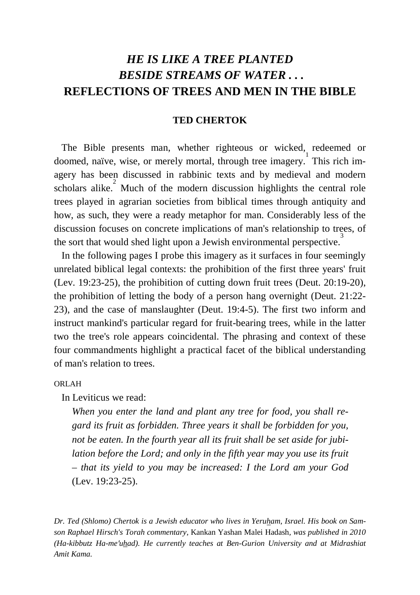# *HE IS LIKE A TREE PLANTED BESIDE STREAMS OF WATER . . .* **REFLECTIONS OF TREES AND MEN IN THE BIBLE**

## **TED CHERTOK**

The Bible presents man, whether righteous or wicked, redeemed or doomed, naïve, wise, or merely mortal, through tree imagery.<sup>1</sup> This rich imagery has been discussed in rabbinic texts and by medieval and modern scholars alike. $\frac{2}{3}$  Much of the modern discussion highlights the central role trees played in agrarian societies from biblical times through antiquity and how, as such, they were a ready metaphor for man. Considerably less of the discussion focuses on concrete implications of man's relationship to trees, of the sort that would shed light upon a Jewish environmental perspective.<sup>3</sup>

 In the following pages I probe this imagery as it surfaces in four seemingly unrelated biblical legal contexts: the prohibition of the first three years' fruit (Lev. 19:23-25), the prohibition of cutting down fruit trees (Deut. 20:19-20), the prohibition of letting the body of a person hang overnight (Deut. 21:22- 23), and the case of manslaughter (Deut. 19:4-5). The first two inform and instruct mankind's particular regard for fruit-bearing trees, while in the latter two the tree's role appears coincidental. The phrasing and context of these four commandments highlight a practical facet of the biblical understanding of man's relation to trees.

ORLAH

In Leviticus we read:

*When you enter the land and plant any tree for food, you shall regard its fruit as forbidden. Three years it shall be forbidden for you, not be eaten. In the fourth year all its fruit shall be set aside for jubilation before the Lord; and only in the fifth year may you use its fruit – that its yield to you may be increased: I the Lord am your God* (Lev. 19:23-25).

*Dr. Ted (Shlomo) Chertok is a Jewish educator who lives in Yeruham, Israel. His book on Samson Raphael Hirsch's Torah commentary,* Kankan Yashan Malei Hadash*, was published in 2010 (Ha-kibbutz Ha-me′uhad). He currently teaches at Ben-Gurion University and at Midrashiat Amit Kama.*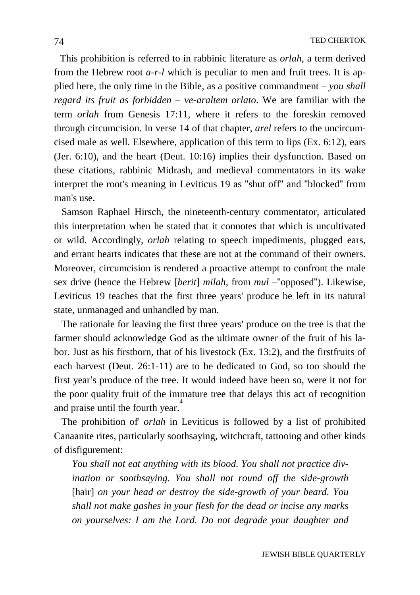This prohibition is referred to in rabbinic literature as *orlah*, a term derived from the Hebrew root *a-r-l* which is peculiar to men and fruit trees. It is applied here, the only time in the Bible, as a positive commandment – *you shall regard its fruit as forbidden* – *ve-araltem orlato*. We are familiar with the term *orlah* from Genesis 17:11, where it refers to the foreskin removed through circumcision. In verse 14 of that chapter, *arel* refers to the uncircumcised male as well. Elsewhere, application of this term to lips (Ex. 6:12), ears (Jer. 6:10), and the heart (Deut. 10:16) implies their dysfunction. Based on these citations, rabbinic Midrash, and medieval commentators in its wake interpret the root's meaning in Leviticus 19 as "shut off" and "blocked" from man's use.

 Samson Raphael Hirsch, the nineteenth-century commentator, articulated this interpretation when he stated that it connotes that which is uncultivated or wild. Accordingly, *orlah* relating to speech impediments, plugged ears, and errant hearts indicates that these are not at the command of their owners. Moreover, circumcision is rendered a proactive attempt to confront the male sex drive (hence the Hebrew [*berit*] *milah*, from *mul* –"opposed"). Likewise, Leviticus 19 teaches that the first three years' produce be left in its natural state, unmanaged and unhandled by man.

 The rationale for leaving the first three years' produce on the tree is that the farmer should acknowledge God as the ultimate owner of the fruit of his labor. Just as his firstborn, that of his livestock (Ex. 13:2), and the firstfruits of each harvest (Deut. 26:1-11) are to be dedicated to God, so too should the first year's produce of the tree. It would indeed have been so, were it not for the poor quality fruit of the immature tree that delays this act of recognition and praise until the fourth year.<sup>4</sup>

 The prohibition of' *orlah* in Leviticus is followed by a list of prohibited Canaanite rites, particularly soothsaying, witchcraft, tattooing and other kinds of disfigurement:

*You shall not eat anything with its blood. You shall not practice divination or soothsaying. You shall not round off the side-growth*  [hair] *on your head or destroy the side-growth of your beard. You shall not make gashes in your flesh for the dead or incise any marks on yourselves: I am the Lord. Do not degrade your daughter and*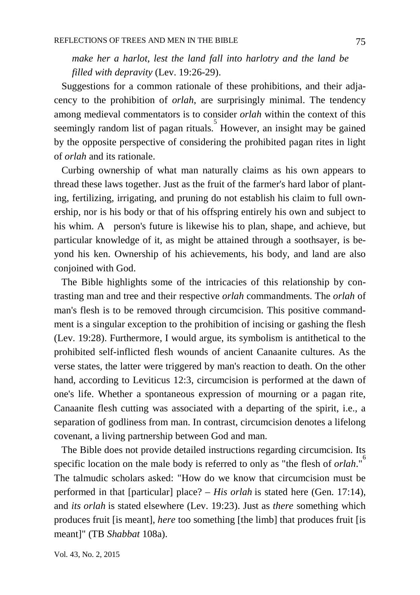*make her a harlot, lest the land fall into harlotry and the land be filled with depravity* (Lev. 19:26-29).

 Suggestions for a common rationale of these prohibitions, and their adjacency to the prohibition of *orlah*, are surprisingly minimal. The tendency among medieval commentators is to consider *orlah* within the context of this seemingly random list of pagan rituals. However, an insight may be gained by the opposite perspective of considering the prohibited pagan rites in light of *orlah* and its rationale.

 Curbing ownership of what man naturally claims as his own appears to thread these laws together. Just as the fruit of the farmer's hard labor of planting, fertilizing, irrigating, and pruning do not establish his claim to full ownership, nor is his body or that of his offspring entirely his own and subject to his whim. A person's future is likewise his to plan, shape, and achieve, but particular knowledge of it, as might be attained through a soothsayer, is beyond his ken. Ownership of his achievements, his body, and land are also conjoined with God.

 The Bible highlights some of the intricacies of this relationship by contrasting man and tree and their respective *orlah* commandments. The *orlah* of man's flesh is to be removed through circumcision. This positive commandment is a singular exception to the prohibition of incising or gashing the flesh (Lev. 19:28). Furthermore, I would argue, its symbolism is antithetical to the prohibited self-inflicted flesh wounds of ancient Canaanite cultures. As the verse states, the latter were triggered by man's reaction to death. On the other hand, according to Leviticus 12:3, circumcision is performed at the dawn of one's life. Whether a spontaneous expression of mourning or a pagan rite, Canaanite flesh cutting was associated with a departing of the spirit, i.e., a separation of godliness from man. In contrast, circumcision denotes a lifelong covenant, a living partnership between God and man.

 The Bible does not provide detailed instructions regarding circumcision. Its specific location on the male body is referred to only as "the flesh of *orlah*."<sup>6</sup> The talmudic scholars asked: "How do we know that circumcision must be performed in that [particular] place? – *His orlah* is stated here (Gen. 17:14), and *its orlah* is stated elsewhere (Lev. 19:23). Just as *there* something which produces fruit [is meant], *here* too something [the limb] that produces fruit [is meant]" (TB *Shabbat* 108a).

Vol. 43, No. 2, 2015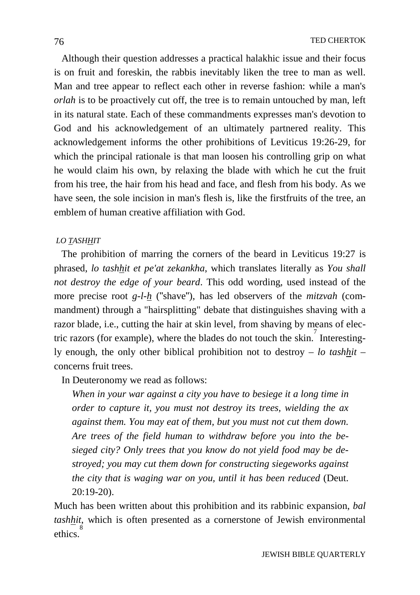Although their question addresses a practical halakhic issue and their focus is on fruit and foreskin, the rabbis inevitably liken the tree to man as well. Man and tree appear to reflect each other in reverse fashion: while a man's *orlah* is to be proactively cut off, the tree is to remain untouched by man, left in its natural state. Each of these commandments expresses man's devotion to God and his acknowledgement of an ultimately partnered reality. This acknowledgement informs the other prohibitions of Leviticus 19:26-29, for which the principal rationale is that man loosen his controlling grip on what he would claim his own, by relaxing the blade with which he cut the fruit from his tree, the hair from his head and face, and flesh from his body. As we have seen, the sole incision in man's flesh is, like the firstfruits of the tree, an emblem of human creative affiliation with God.

## *LO TASHHIT*

 The prohibition of marring the corners of the beard in Leviticus 19:27 is phrased, *lo tashhit et pe'at zekankha*, which translates literally as *You shall not destroy the edge of your beard*. This odd wording, used instead of the more precise root *g-l-h* ("shave"), has led observers of the *mitzvah* (commandment) through a "hairsplitting" debate that distinguishes shaving with a razor blade, i.e., cutting the hair at skin level, from shaving by means of electric razors (for example), where the blades do not touch the skin.<sup>7</sup> Interestingly enough, the only other biblical prohibition not to destroy – *lo tashhit* – concerns fruit trees.

In Deuteronomy we read as follows:

*When in your war against a city you have to besiege it a long time in order to capture it, you must not destroy its trees, wielding the ax against them. You may eat of them, but you must not cut them down. Are trees of the field human to withdraw before you into the besieged city? Only trees that you know do not yield food may be destroyed; you may cut them down for constructing siegeworks against the city that is waging war on you, until it has been reduced* (Deut. 20:19-20).

Much has been written about this prohibition and its rabbinic expansion, *bal tashhit*, which is often presented as a cornerstone of Jewish environmental ethics<sup>3</sup>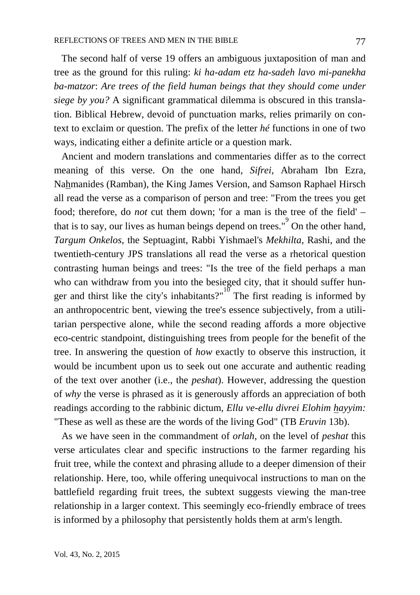The second half of verse 19 offers an ambiguous juxtaposition of man and tree as the ground for this ruling: *ki ha-adam etz ha-sadeh lavo mi-panekha ba-matzor*: *Are trees of the field human beings that they should come under siege by you?* A significant grammatical dilemma is obscured in this translation. Biblical Hebrew, devoid of punctuation marks, relies primarily on context to exclaim or question. The prefix of the letter *hé* functions in one of two ways, indicating either a definite article or a question mark.

 Ancient and modern translations and commentaries differ as to the correct meaning of this verse. On the one hand, *Sifrei*, Abraham Ibn Ezra, Nahmanides (Ramban), the King James Version, and Samson Raphael Hirsch all read the verse as a comparison of person and tree: "From the trees you get food; therefore, do *not* cut them down; 'for a man is the tree of the field' – that is to say, our lives as human beings depend on trees."<sup>9</sup> On the other hand, *Targum Onkelos*, the Septuagint, Rabbi Yishmael's *Mekhilta*, Rashi, and the twentieth-century JPS translations all read the verse as a rhetorical question contrasting human beings and trees: "Is the tree of the field perhaps a man who can withdraw from you into the besieged city, that it should suffer hunger and thirst like the city's inhabitants?" $10^{\circ}$  The first reading is informed by an anthropocentric bent, viewing the tree's essence subjectively, from a utilitarian perspective alone, while the second reading affords a more objective eco-centric standpoint, distinguishing trees from people for the benefit of the tree. In answering the question of *how* exactly to observe this instruction, it would be incumbent upon us to seek out one accurate and authentic reading of the text over another (i.e., the *peshat*). However, addressing the question of *why* the verse is phrased as it is generously affords an appreciation of both readings according to the rabbinic dictum, *Ellu ve-ellu divrei Elohim hayyim:* "These as well as these are the words of the living God" (TB *Eruvin* 13b).

 As we have seen in the commandment of *orlah*, on the level of *peshat* this verse articulates clear and specific instructions to the farmer regarding his fruit tree, while the context and phrasing allude to a deeper dimension of their relationship. Here, too, while offering unequivocal instructions to man on the battlefield regarding fruit trees, the subtext suggests viewing the man-tree relationship in a larger context. This seemingly eco-friendly embrace of trees is informed by a philosophy that persistently holds them at arm's length.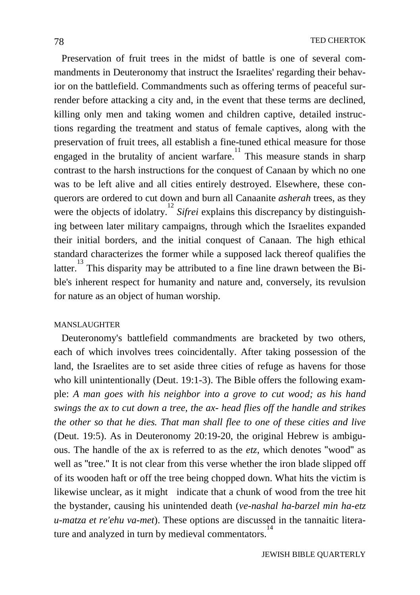Preservation of fruit trees in the midst of battle is one of several commandments in Deuteronomy that instruct the Israelites' regarding their behavior on the battlefield. Commandments such as offering terms of peaceful surrender before attacking a city and, in the event that these terms are declined, killing only men and taking women and children captive, detailed instructions regarding the treatment and status of female captives, along with the preservation of fruit trees, all establish a fine-tuned ethical measure for those engaged in the brutality of ancient warfare.<sup>11</sup> This measure stands in sharp contrast to the harsh instructions for the conquest of Canaan by which no one was to be left alive and all cities entirely destroyed. Elsewhere, these conquerors are ordered to cut down and burn all Canaanite *asherah* trees, as they were the objects of idolatry.<sup>12</sup> Sifrei explains this discrepancy by distinguishing between later military campaigns, through which the Israelites expanded their initial borders, and the initial conquest of Canaan. The high ethical standard characterizes the former while a supposed lack thereof qualifies the latter.<sup>13</sup> This disparity may be attributed to a fine line drawn between the Bible's inherent respect for humanity and nature and, conversely, its revulsion for nature as an object of human worship.

### MANSLAUGHTER

 Deuteronomy's battlefield commandments are bracketed by two others, each of which involves trees coincidentally. After taking possession of the land, the Israelites are to set aside three cities of refuge as havens for those who kill unintentionally (Deut. 19:1-3). The Bible offers the following example: *A man goes with his neighbor into a grove to cut wood; as his hand swings the ax to cut down a tree, the ax- head flies off the handle and strikes the other so that he dies. That man shall flee to one of these cities and live* (Deut. 19:5). As in Deuteronomy 20:19-20, the original Hebrew is ambiguous. The handle of the ax is referred to as the *etz*, which denotes "wood" as well as "tree." It is not clear from this verse whether the iron blade slipped off of its wooden haft or off the tree being chopped down. What hits the victim is likewise unclear, as it might indicate that a chunk of wood from the tree hit the bystander, causing his unintended death (*ve-nashal ha-barzel min ha-etz u-matza et re'ehu va-met*). These options are discussed in the tannaitic literature and analyzed in turn by medieval commentators.<sup>1</sup>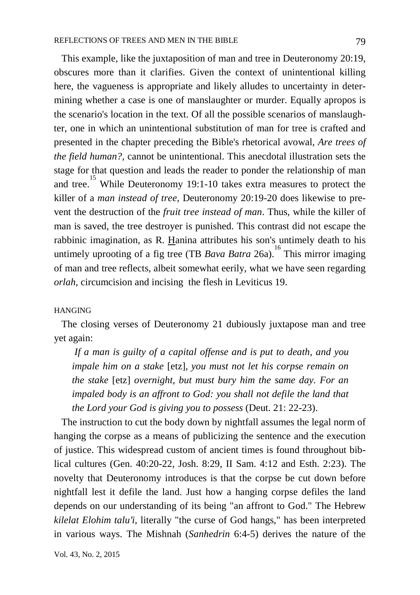This example, like the juxtaposition of man and tree in Deuteronomy 20:19, obscures more than it clarifies. Given the context of unintentional killing here, the vagueness is appropriate and likely alludes to uncertainty in determining whether a case is one of manslaughter or murder. Equally apropos is the scenario's location in the text. Of all the possible scenarios of manslaughter, one in which an unintentional substitution of man for tree is crafted and presented in the chapter preceding the Bible's rhetorical avowal, *Are trees of the field human?*, cannot be unintentional. This anecdotal illustration sets the stage for that question and leads the reader to ponder the relationship of man and tree.<sup>15</sup> While Deuteronomy 19:1-10 takes extra measures to protect the killer of a *man instead of tree*, Deuteronomy 20:19-20 does likewise to prevent the destruction of the *fruit tree instead of man*. Thus, while the killer of man is saved, the tree destroyer is punished. This contrast did not escape the rabbinic imagination, as R. Hanina attributes his son's untimely death to his untimely uprooting of a fig tree (TB *Bava Batra* 26a). 16 This mirror imaging of man and tree reflects, albeit somewhat eerily, what we have seen regarding *orlah*, circumcision and incising the flesh in Leviticus 19.

### HANGING

 The closing verses of Deuteronomy 21 dubiously juxtapose man and tree yet again:

*If a man is guilty of a capital offense and is put to death, and you impale him on a stake* [etz]*, you must not let his corpse remain on the stake* [etz] *overnight, but must bury him the same day. For an impaled body is an affront to God: you shall not defile the land that the Lord your God is giving you to possess* (Deut. 21: 22-23).

 The instruction to cut the body down by nightfall assumes the legal norm of hanging the corpse as a means of publicizing the sentence and the execution of justice. This widespread custom of ancient times is found throughout biblical cultures (Gen. 40:20-22, Josh. 8:29, II Sam. 4:12 and Esth. 2:23). The novelty that Deuteronomy introduces is that the corpse be cut down before nightfall lest it defile the land. Just how a hanging corpse defiles the land depends on our understanding of its being "an affront to God." The Hebrew *kilelat Elohim talu′i*, literally "the curse of God hangs," has been interpreted in various ways. The Mishnah (*Sanhedrin* 6:4-5) derives the nature of the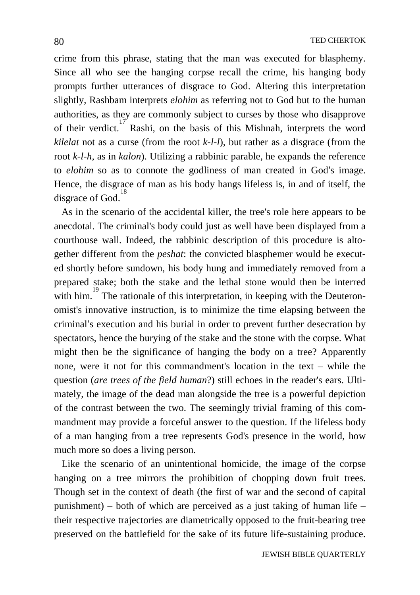crime from this phrase, stating that the man was executed for blasphemy. Since all who see the hanging corpse recall the crime, his hanging body prompts further utterances of disgrace to God. Altering this interpretation slightly, Rashbam interprets *elohim* as referring not to God but to the human authorities, as they are commonly subject to curses by those who disapprove of their verdict.<sup>17</sup> Rashi, on the basis of this Mishnah, interprets the word *kilelat* not as a curse (from the root *k-l-l*), but rather as a disgrace (from the root *k-l-h,* as in *kalon*). Utilizing a rabbinic parable, he expands the reference to *elohim* so as to connote the godliness of man created in God's image. Hence, the disgrace of man as his body hangs lifeless is, in and of itself, the disgrace of God.<sup>18</sup>

 As in the scenario of the accidental killer, the tree's role here appears to be anecdotal. The criminal's body could just as well have been displayed from a courthouse wall. Indeed, the rabbinic description of this procedure is altogether different from the *peshat*: the convicted blasphemer would be executed shortly before sundown, his body hung and immediately removed from a prepared stake; both the stake and the lethal stone would then be interred with him.<sup>19</sup> The rationale of this interpretation, in keeping with the Deuteronomist's innovative instruction, is to minimize the time elapsing between the criminal's execution and his burial in order to prevent further desecration by spectators, hence the burying of the stake and the stone with the corpse. What might then be the significance of hanging the body on a tree? Apparently none, were it not for this commandment's location in the text – while the question (*are trees of the field human*?) still echoes in the reader's ears. Ultimately, the image of the dead man alongside the tree is a powerful depiction of the contrast between the two. The seemingly trivial framing of this commandment may provide a forceful answer to the question. If the lifeless body of a man hanging from a tree represents God's presence in the world, how much more so does a living person.

 Like the scenario of an unintentional homicide, the image of the corpse hanging on a tree mirrors the prohibition of chopping down fruit trees. Though set in the context of death (the first of war and the second of capital punishment) – both of which are perceived as a just taking of human life – their respective trajectories are diametrically opposed to the fruit-bearing tree preserved on the battlefield for the sake of its future life-sustaining produce.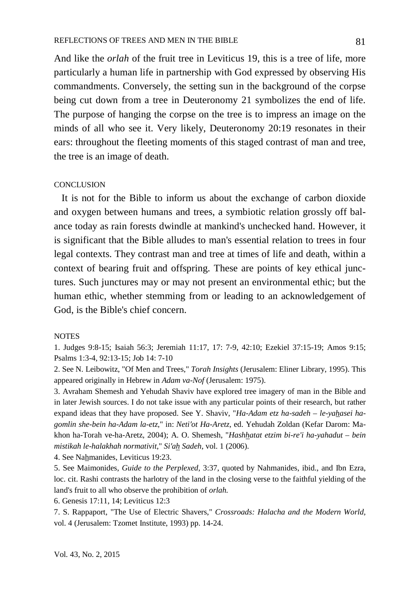And like the *orlah* of the fruit tree in Leviticus 19, this is a tree of life, more particularly a human life in partnership with God expressed by observing His commandments. Conversely, the setting sun in the background of the corpse being cut down from a tree in Deuteronomy 21 symbolizes the end of life. The purpose of hanging the corpse on the tree is to impress an image on the minds of all who see it. Very likely, Deuteronomy 20:19 resonates in their ears: throughout the fleeting moments of this staged contrast of man and tree, the tree is an image of death.

#### **CONCLUSION**

 It is not for the Bible to inform us about the exchange of carbon dioxide and oxygen between humans and trees, a symbiotic relation grossly off balance today as rain forests dwindle at mankind's unchecked hand. However, it is significant that the Bible alludes to man's essential relation to trees in four legal contexts. They contrast man and tree at times of life and death, within a context of bearing fruit and offspring. These are points of key ethical junctures. Such junctures may or may not present an environmental ethic; but the human ethic, whether stemming from or leading to an acknowledgement of God, is the Bible's chief concern.

### **NOTES**

1. Judges 9:8-15; Isaiah 56:3; Jeremiah 11:17, 17: 7-9, 42:10; Ezekiel 37:15-19; Amos 9:15; Psalms 1:3-4, 92:13-15; Job 14: 7-10

2. See N. Leibowitz, "Of Men and Trees," *Torah Insights* (Jerusalem: Eliner Library, 1995). This appeared originally in Hebrew in *Adam va-Nof* (Jerusalem: 1975).

3. Avraham Shemesh and Yehudah Shaviv have explored tree imagery of man in the Bible and in later Jewish sources. I do not take issue with any particular points of their research, but rather expand ideas that they have proposed. See Y. Shaviv, "*Ha-Adam etz ha-sadeh – le-yahasei hagomlin she-bein ha-Adam la-etz*," in: *Neti′ot Ha-Aretz*, ed. Yehudah Zoldan (Kefar Darom: Makhon ha-Torah ve-ha-Aretz, 2004); A. O. Shemesh, "*Hashhatat etzim bi-re'i ha-yahadut – bein mistikah le-halakhah normativit*," *Si′ah Sadeh*, vol. 1 (2006).

4. See Nahmanides, Leviticus 19:23.

5. See Maimonides, *Guide to the Perplexed*, 3:37, quoted by Nahmanides, ibid., and Ibn Ezra, loc. cit. Rashi contrasts the harlotry of the land in the closing verse to the faithful yielding of the land's fruit to all who observe the prohibition of *orlah.*

6. Genesis 17:11, 14; Leviticus 12:3

7. S. Rappaport, "The Use of Electric Shavers," *Crossroads: Halacha and the Modern World,* vol. 4 (Jerusalem: Tzomet Institute, 1993) pp. 14-24.